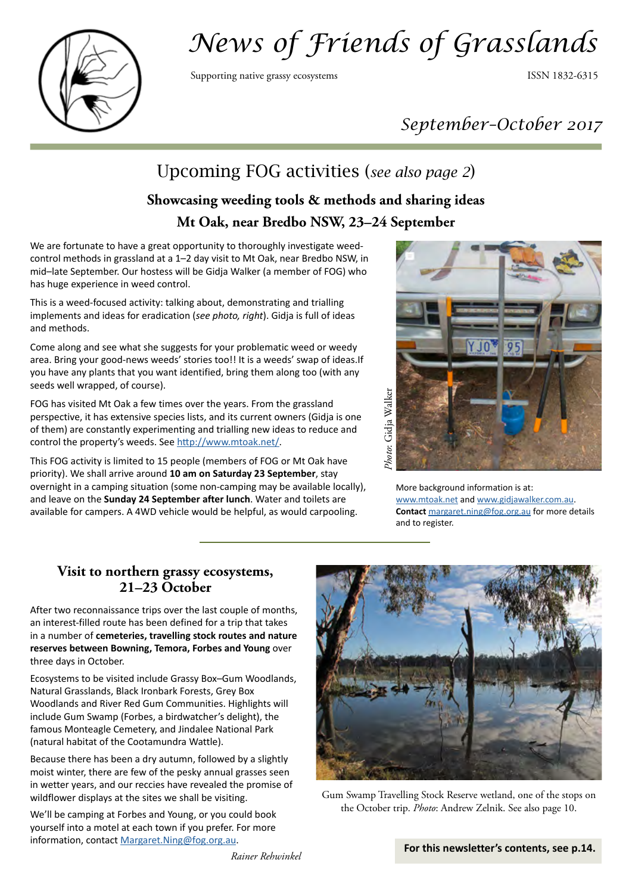

# *News of Friends of Grasslands*

Supporting native grassy ecosystems **ISSN 1832-6315** 

# *September–October 2017*

# Upcoming FOG activities (*see also page 2*)

# **Showcasing weeding tools & methods and sharing ideas Mt Oak, near Bredbo NSW, 23–24 September**

We are fortunate to have a great opportunity to thoroughly investigate weedcontrol methods in grassland at a 1–2 day visit to Mt Oak, near Bredbo NSW, in mid–late September. Our hostess will be Gidja Walker (a member of FOG) who has huge experience in weed control.

This is a weed-focused activity: talking about, demonstrating and trialling implements and ideas for eradication (*see photo, right*). Gidja is full of ideas and methods.

Come along and see what she suggests for your problematic weed or weedy area. Bring your good-news weeds' stories too!! It is a weeds' swap of [ideas.If](http://ideas.If)  you have any plants that you want identified, bring them along too (with any seeds well wrapped, of course).

FOG has visited Mt Oak a few times over the years. From the grassland perspective, it has extensive species lists, and its current owners (Gidja is one of them) are constantly experimenting and trialling new ideas to reduce and control the property's weeds. See <http://www.mtoak.net/>.

This FOG activity is limited to 15 people (members of FOG or Mt Oak have priority). We shall arrive around **10 am on Saturday 23 September**, stay overnight in a camping situation (some non-camping may be available locally), and leave on the **Sunday 24 September after lunch**. Water and toilets are available for campers. A 4WD vehicle would be helpful, as would carpooling.



More background information is at: [www.mtoak.net](http://www.mtoak.net) and [www.gidjawalker.com.au.](http://www.gidjawalker.com.au) **Contact** [margaret.ning@fog.org.au](mailto:margaret.ning@fog.org.au) for more details and to register.

### **Visit to northern grassy ecosystems, 21–23 October**

After two reconnaissance trips over the last couple of months, an interest-filled route has been defined for a trip that takes in a number of **cemeteries, travelling stock routes and nature reserves between Bowning, Temora, Forbes and Young** over three days in October.

Ecosystems to be visited include Grassy Box–Gum Woodlands, Natural Grasslands, Black Ironbark Forests, Grey Box Woodlands and River Red Gum Communities. Highlights will include Gum Swamp (Forbes, a birdwatcher's delight), the famous Monteagle Cemetery, and Jindalee National Park (natural habitat of the Cootamundra Wattle).

Because there has been a dry autumn, followed by a slightly moist winter, there are few of the pesky annual grasses seen in wetter years, and our reccies have revealed the promise of wildflower displays at the sites we shall be visiting.

We'll be camping at Forbes and Young, or you could book yourself into a motel at each town if you prefer. For more information, contact [Margaret.Ning@fog.org.au.](mailto:Margaret.Ning@fog.org.au)



Gum Swamp Travelling Stock Reserve wetland, one of the stops on the October trip. *Photo*: Andrew Zelnik. See also page 10.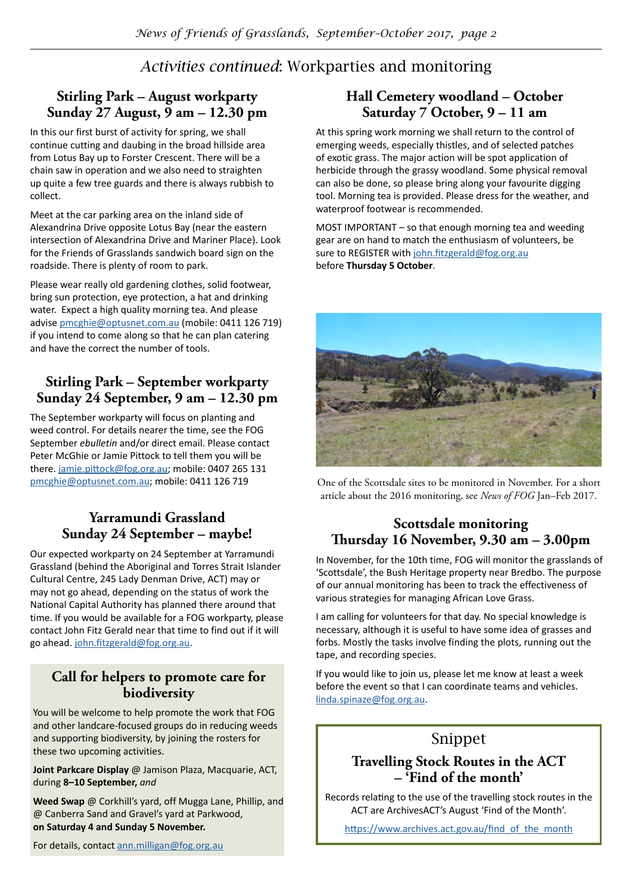# *Activities continued*: Workparties and monitoring

# **Stirling Park – August workparty Sunday 27 August, 9 am – 12.30 pm**

In this our first burst of activity for spring, we shall continue cutting and daubing in the broad hillside area from Lotus Bay up to Forster Crescent. There will be a chain saw in operation and we also need to straighten up quite a few tree guards and there is always rubbish to collect.

Meet at the car parking area on the inland side of Alexandrina Drive opposite Lotus Bay (near the eastern intersection of Alexandrina Drive and Mariner Place). Look for the Friends of Grasslands sandwich board sign on the roadside. There is plenty of room to park.

Please wear really old gardening clothes, solid footwear, bring sun protection, eye protection, a hat and drinking water. Expect a high quality morning tea. And please advise [pmcghie@optusnet.com.au](mailto:pmcghie@optusnet.com.au) (mobile: 0411 126 719) if you intend to come along so that he can plan catering and have the correct the number of tools.

# **Stirling Park – September workparty Sunday 24 September, 9 am – 12.30 pm**

The September workparty will focus on planting and weed control. For details nearer the time, see the FOG September *ebulletin* and/or direct email. Please contact Peter McGhie or Jamie Pittock to tell them you will be there. [jamie.pittock@fog.org.au](mailto:jamie.pittock@fog.org.au); mobile: 0407 265 131 [pmcghie@optusnet.com.au](mailto:pmcghie@optusnet.com.au); mobile: 0411 126 719

# **Yarramundi Grassland Sunday 24 September – maybe!**

Our expected workparty on 24 September at Yarramundi Grassland (behind the Aboriginal and Torres Strait Islander Cultural Centre, 245 Lady Denman Drive, ACT) may or may not go ahead, depending on the status of work the National Capital Authority has planned there around that time. If you would be available for a FOG workparty, please contact John Fitz Gerald near that time to find out if it will go ahead. [john.fitzgerald@fog.org.au](mailto:john.fitzgerald@fog.org.au).

# **Call for helpers to promote care for biodiversity**

You will be welcome to help promote the work that FOG and other landcare-focused groups do in reducing weeds and supporting biodiversity, by joining the rosters for these two upcoming activities.

**Joint Parkcare Display** @ Jamison Plaza, Macquarie, ACT, during **8–10 September,** *and*

**Weed Swap** @ Corkhill's yard, off Mugga Lane, Phillip, and @ Canberra Sand and Gravel's yard at Parkwood, **on Saturday 4 and Sunday 5 November.** 

### **Hall Cemetery woodland – October Saturday 7 October, 9 – 11 am**

At this spring work morning we shall return to the control of emerging weeds, especially thistles, and of selected patches of exotic grass. The major action will be spot application of herbicide through the grassy woodland. Some physical removal can also be done, so please bring along your favourite digging tool. Morning tea is provided. Please dress for the weather, and waterproof footwear is recommended.

MOST IMPORTANT – so that enough morning tea and weeding gear are on hand to match the enthusiasm of volunteers, be sure to REGISTER with [john.fitzgerald@fog.org.au](mailto:john.fitzgerald@fog.org.au ) before **Thursday 5 October**.



One of the Scottsdale sites to be monitored in November. For a short article about the 2016 monitoring, see *News of FOG* Jan–Feb 2017.

# **Scottsdale monitoring Thursday 16 November, 9.30 am – 3.00pm**

In November, for the 10th time, FOG will monitor the grasslands of 'Scottsdale', the Bush Heritage property near Bredbo. The purpose of our annual monitoring has been to track the effectiveness of various strategies for managing African Love Grass.

I am calling for volunteers for that day. No special knowledge is necessary, although it is useful to have some idea of grasses and forbs. Mostly the tasks involve finding the plots, running out the tape, and recording species.

If you would like to join us, please let me know at least a week before the event so that I can coordinate teams and vehicles. [linda.spinaze@fog.org.au](mailto:linda.spinaze@fog.org.au).

# Snippet

# **Travelling Stock Routes in the ACT – 'Find of the month'**

Records relating to the use of the travelling stock routes in the ACT are ArchivesACT's August 'Find of the Month'.

[https://www.archives.act.gov.au/find\\_of\\_the\\_month](https://www.archives.act.gov.au/find_of_the_month)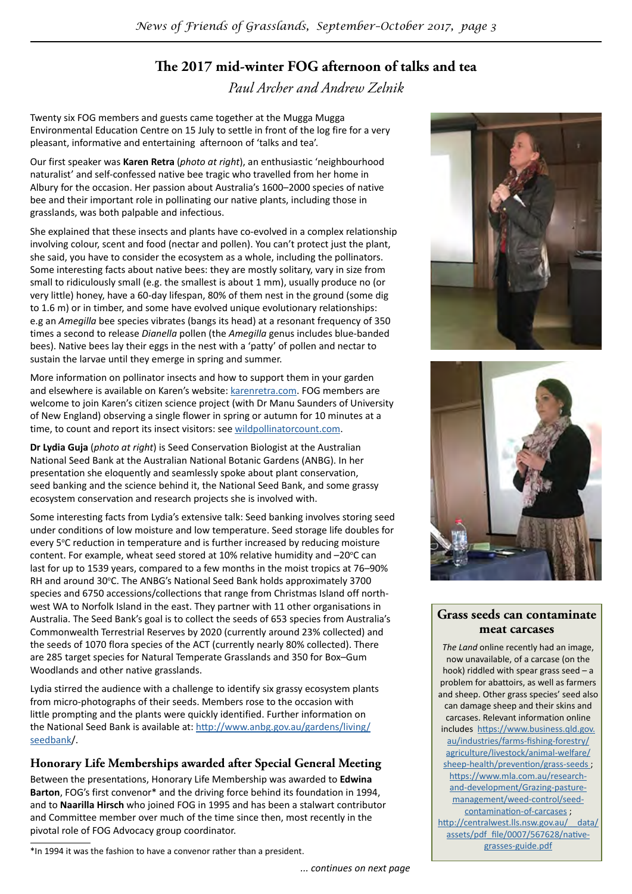# **The 2017 mid-winter FOG afternoon of talks and tea**

*Paul Archer and Andrew Zelnik*

Twenty six FOG members and guests came together at the Mugga Mugga Environmental Education Centre on 15 July to settle in front of the log fire for a very pleasant, informative and entertaining afternoon of 'talks and tea'.

Our first speaker was **Karen Retra** (*photo at right*), an enthusiastic 'neighbourhood naturalist' and self-confessed native bee tragic who travelled from her home in Albury for the occasion. Her passion about Australia's 1600–2000 species of native bee and their important role in pollinating our native plants, including those in grasslands, was both palpable and infectious.

She explained that these insects and plants have co-evolved in a complex relationship involving colour, scent and food (nectar and pollen). You can't protect just the plant, she said, you have to consider the ecosystem as a whole, including the pollinators. Some interesting facts about native bees: they are mostly solitary, vary in size from small to ridiculously small (e.g. the smallest is about 1 mm), usually produce no (or very little) honey, have a 60-day lifespan, 80% of them nest in the ground (some dig to 1.6 m) or in timber, and some have evolved unique evolutionary relationships: e.g an *Amegilla* bee species vibrates (bangs its head) at a resonant frequency of 350 times a second to release *Dianella* pollen (the *Amegilla* genus includes blue-banded bees). Native bees lay their eggs in the nest with a 'patty' of pollen and nectar to sustain the larvae until they emerge in spring and summer.

More information on pollinator insects and how to support them in your garden and elsewhere is available on Karen's website: [karenretra.com.](http://karenretra.com) FOG members are welcome to join Karen's citizen science project (with Dr Manu Saunders of University of New England) observing a single flower in spring or autumn for 10 minutes at a time, to count and report its insect visitors: see [wildpollinatorcount.com.](http://wildpollinatorcount.com)

**Dr Lydia Guja** (*photo at right*) is Seed Conservation Biologist at the Australian National Seed Bank at the Australian National Botanic Gardens (ANBG). In her presentation she eloquently and seamlessly spoke about plant conservation, seed banking and the science behind it, the National Seed Bank, and some grassy ecosystem conservation and research projects she is involved with.

Some interesting facts from Lydia's extensive talk: Seed banking involves storing seed under conditions of low moisture and low temperature. Seed storage life doubles for every 5°C reduction in temperature and is further increased by reducing moisture content. For example, wheat seed stored at 10% relative humidity and  $-20^{\circ}$ C can last for up to 1539 years, compared to a few months in the moist tropics at 76–90% RH and around 30°C. The ANBG's National Seed Bank holds approximately 3700 species and 6750 accessions/collections that range from Christmas Island off northwest WA to Norfolk Island in the east. They partner with 11 other organisations in Australia. The Seed Bank's goal is to collect the seeds of 653 species from Australia's Commonwealth Terrestrial Reserves by 2020 (currently around 23% collected) and the seeds of 1070 flora species of the ACT (currently nearly 80% collected). There are 285 target species for Natural Temperate Grasslands and 350 for Box–Gum Woodlands and other native grasslands.

Lydia stirred the audience with a challenge to identify six grassy ecosystem plants from micro-photographs of their seeds. Members rose to the occasion with little prompting and the plants were quickly identified. Further information on the National Seed Bank is available at: [http://www.anbg.gov.au/gardens/living/](http://www.anbg.gov.au/gardens/living/seedbank) [seedbank](http://www.anbg.gov.au/gardens/living/seedbank)/.

#### **Honorary Life Memberships awarded after Special General Meeting**

Between the presentations, Honorary Life Membership was awarded to **Edwina Barton**, FOG's first convenor\* and the driving force behind its foundation in 1994, and to **Naarilla Hirsch** who joined FOG in 1995 and has been a stalwart contributor and Committee member over much of the time since then, most recently in the pivotal role of FOG Advocacy group coordinator.





#### **Grass seeds can contaminate meat carcases**

*The Land* online recently had an image, now unavailable, of a carcase (on the hook) riddled with spear grass seed – a problem for abattoirs, as well as farmers and sheep. Other grass species' seed also can damage sheep and their skins and carcases. Relevant information online includes [https://www.business.qld.gov.](https://www.business.qld.gov.au/industries/farms-fishing-forestry/agriculture/livestock/animal-welfare/sheep-health/prevention/grass-seeds) [au/industries/farms-fishing-forestry/](https://www.business.qld.gov.au/industries/farms-fishing-forestry/agriculture/livestock/animal-welfare/sheep-health/prevention/grass-seeds) [agriculture/livestock/animal-welfare/](https://www.business.qld.gov.au/industries/farms-fishing-forestry/agriculture/livestock/animal-welfare/sheep-health/prevention/grass-seeds) [sheep-health/prevention/grass-seeds](https://www.business.qld.gov.au/industries/farms-fishing-forestry/agriculture/livestock/animal-welfare/sheep-health/prevention/grass-seeds) ; [https://www.mla.com.au/research](https://www.mla.com.au/research-and-development/Grazing-pasture-management/weed-control/seed-contamination-of-carcases)[and-development/Grazing-pasture](https://www.mla.com.au/research-and-development/Grazing-pasture-management/weed-control/seed-contamination-of-carcases)[management/weed-control/seed](https://www.mla.com.au/research-and-development/Grazing-pasture-management/weed-control/seed-contamination-of-carcases)[contamination-of-carcases](https://www.mla.com.au/research-and-development/Grazing-pasture-management/weed-control/seed-contamination-of-carcases) ; http://centralwest.lls.nsw.gov.au/ data/ [assets/pdf\\_file/0007/567628/native](http://centralwest.lls.nsw.gov.au/__data/assets/pdf_file/0007/567628/native-grasses-guide.pdf)[grasses-guide.pdf](http://centralwest.lls.nsw.gov.au/__data/assets/pdf_file/0007/567628/native-grasses-guide.pdf)

<sup>\*</sup>In 1994 it was the fashion to have a convenor rather than a president.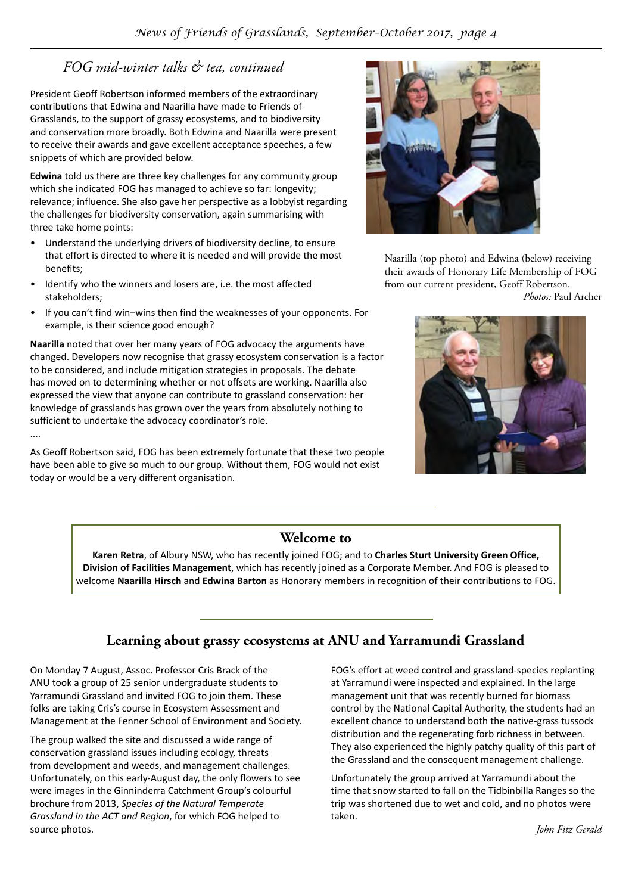# *FOG mid-winter talks & tea, continued*

President Geoff Robertson informed members of the extraordinary contributions that Edwina and Naarilla have made to Friends of Grasslands, to the support of grassy ecosystems, and to biodiversity and conservation more broadly. Both Edwina and Naarilla were present to receive their awards and gave excellent acceptance speeches, a few snippets of which are provided below.

**Edwina** told us there are three key challenges for any community group which she indicated FOG has managed to achieve so far: longevity; relevance; influence. She also gave her perspective as a lobbyist regarding the challenges for biodiversity conservation, again summarising with three take home points:

- Understand the underlying drivers of biodiversity decline, to ensure that effort is directed to where it is needed and will provide the most benefits;
- Identify who the winners and losers are, i.e. the most affected stakeholders;

....

• If you can't find win–wins then find the weaknesses of your opponents. For example, is their science good enough?

**Naarilla** noted that over her many years of FOG advocacy the arguments have changed. Developers now recognise that grassy ecosystem conservation is a factor to be considered, and include mitigation strategies in proposals. The debate has moved on to determining whether or not offsets are working. Naarilla also expressed the view that anyone can contribute to grassland conservation: her knowledge of grasslands has grown over the years from absolutely nothing to sufficient to undertake the advocacy coordinator's role.

As Geoff Robertson said, FOG has been extremely fortunate that these two people have been able to give so much to our group. Without them, FOG would not exist today or would be a very different organisation.



Naarilla (top photo) and Edwina (below) receiving their awards of Honorary Life Membership of FOG from our current president, Geoff Robertson. *Photos:* Paul Archer



### **Welcome to**

**Karen Retra**, of Albury NSW, who has recently joined FOG; and to **Charles Sturt University Green Office, Division of Facilities Management**, which has recently joined as a Corporate Member. And FOG is pleased to welcome **Naarilla Hirsch** and **Edwina Barton** as Honorary members in recognition of their contributions to FOG.

# **Learning about grassy ecosystems at ANU and Yarramundi Grassland**

On Monday 7 August, Assoc. Professor Cris Brack of the ANU took a group of 25 senior undergraduate students to Yarramundi Grassland and invited FOG to join them. These folks are taking Cris's course in Ecosystem Assessment and Management at the Fenner School of Environment and Society.

The group walked the site and discussed a wide range of conservation grassland issues including ecology, threats from development and weeds, and management challenges. Unfortunately, on this early-August day, the only flowers to see were images in the Ginninderra Catchment Group's colourful brochure from 2013, *Species of the Natural Temperate Grassland in the ACT and Region*, for which FOG helped to source photos.

FOG's effort at weed control and grassland-species replanting at Yarramundi were inspected and explained. In the large management unit that was recently burned for biomass control by the National Capital Authority, the students had an excellent chance to understand both the native-grass tussock distribution and the regenerating forb richness in between. They also experienced the highly patchy quality of this part of the Grassland and the consequent management challenge.

Unfortunately the group arrived at Yarramundi about the time that snow started to fall on the Tidbinbilla Ranges so the trip was shortened due to wet and cold, and no photos were taken.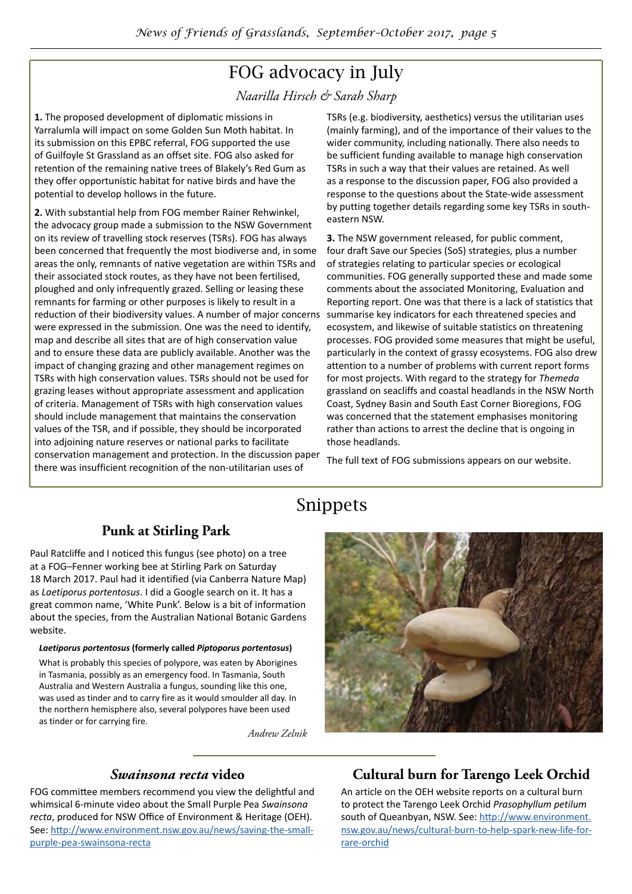# FOG advocacy in July

*Naarilla Hirsch & Sarah Sharp*

**1.** The proposed development of diplomatic missions in Yarralumla will impact on some Golden Sun Moth habitat. In its submission on this EPBC referral, FOG supported the use of Guilfoyle St Grassland as an offset site. FOG also asked for retention of the remaining native trees of Blakely's Red Gum as they offer opportunistic habitat for native birds and have the potential to develop hollows in the future.

**2.** With substantial help from FOG member Rainer Rehwinkel, the advocacy group made a submission to the NSW Government on its review of travelling stock reserves (TSRs). FOG has always been concerned that frequently the most biodiverse and, in some areas the only, remnants of native vegetation are within TSRs and their associated stock routes, as they have not been fertilised, ploughed and only infrequently grazed. Selling or leasing these remnants for farming or other purposes is likely to result in a reduction of their biodiversity values. A number of major concerns were expressed in the submission. One was the need to identify, map and describe all sites that are of high conservation value and to ensure these data are publicly available. Another was the impact of changing grazing and other management regimes on TSRs with high conservation values. TSRs should not be used for grazing leases without appropriate assessment and application of criteria. Management of TSRs with high conservation values should include management that maintains the conservation values of the TSR, and if possible, they should be incorporated into adjoining nature reserves or national parks to facilitate conservation management and protection. In the discussion paper there was insufficient recognition of the non-utilitarian uses of

TSRs (e.g. biodiversity, aesthetics) versus the utilitarian uses (mainly farming), and of the importance of their values to the wider community, including nationally. There also needs to be sufficient funding available to manage high conservation TSRs in such a way that their values are retained. As well as a response to the discussion paper, FOG also provided a response to the questions about the State-wide assessment by putting together details regarding some key TSRs in southeastern NSW.

**3.** The NSW government released, for public comment, four draft Save our Species (SoS) strategies, plus a number of strategies relating to particular species or ecological communities. FOG generally supported these and made some comments about the associated Monitoring, Evaluation and Reporting report. One was that there is a lack of statistics that summarise key indicators for each threatened species and ecosystem, and likewise of suitable statistics on threatening processes. FOG provided some measures that might be useful, particularly in the context of grassy ecosystems. FOG also drew attention to a number of problems with current report forms for most projects. With regard to the strategy for *Themeda* grassland on seacliffs and coastal headlands in the NSW North Coast, Sydney Basin and South East Corner Bioregions, FOG was concerned that the statement emphasises monitoring rather than actions to arrest the decline that is ongoing in those headlands.

The full text of FOG submissions appears on our website.

# Snippets

# **Punk at Stirling Park**

Paul Ratcliffe and I noticed this fungus (see photo) on a tree at a FOG–Fenner working bee at Stirling Park on Saturday 18 March 2017. Paul had it identified (via Canberra Nature Map) as *Laetiporus portentosus*. I did a Google search on it. It has a great common name, 'White Punk'. Below is a bit of information about the species, from the Australian National Botanic Gardens website.

#### *Laetiporus portentosus* **(formerly called** *Piptoporus portentosus***)**

What is probably this species of polypore, was eaten by Aborigines in Tasmania, possibly as an emergency food. In Tasmania, South Australia and Western Australia a fungus, sounding like this one, was used as tinder and to carry fire as it would smoulder all day. In the northern hemisphere also, several polypores have been used as tinder or for carrying fire.

*Andrew Zelnik*



### *Swainsona recta* **video**

FOG committee members recommend you view the delightful and whimsical 6-minute video about the Small Purple Pea *Swainsona recta*, produced for NSW Office of Environment & Heritage (OEH). See: [http://www.environment.nsw.gov.au/news/saving-the-small](http://www.environment.nsw.gov.au/news/saving-the-small-purple-pea-swainsona-recta)[purple-pea-swainsona-recta](http://www.environment.nsw.gov.au/news/saving-the-small-purple-pea-swainsona-recta)

# **Cultural burn for Tarengo Leek Orchid**

An article on the OEH website reports on a cultural burn to protect the Tarengo Leek Orchid *Prasophyllum petilum* south of Queanbyan, NSW. See: [http://www.environment.](http://www.environment.nsw.gov.au/news/cultural-burn-to-help-spark-new-life-for-rare-orchid) [nsw.gov.au/news/cultural-burn-to-help-spark-new-life-for](http://www.environment.nsw.gov.au/news/cultural-burn-to-help-spark-new-life-for-rare-orchid)[rare-orchid](http://www.environment.nsw.gov.au/news/cultural-burn-to-help-spark-new-life-for-rare-orchid)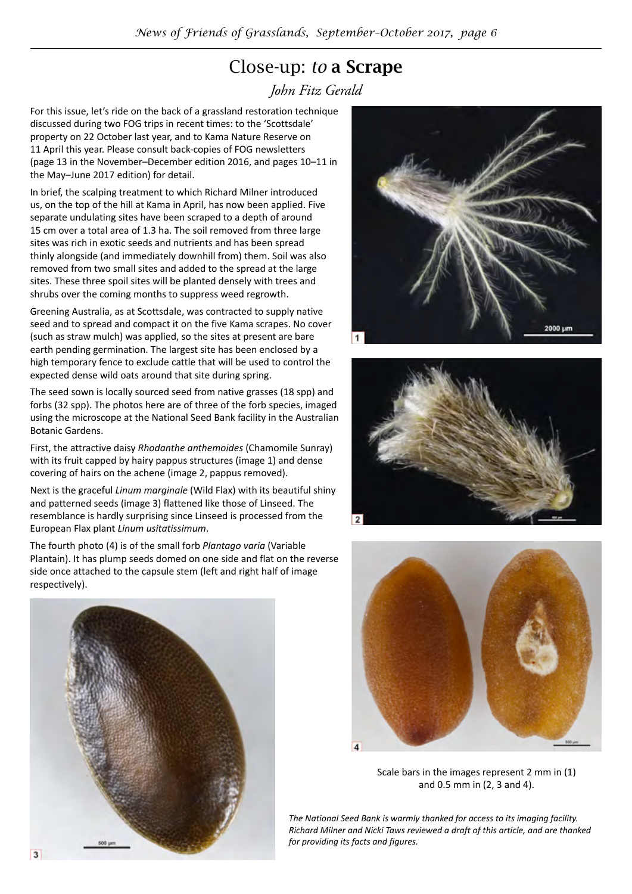# Close-up: *to* a Scrape

*John Fitz Gerald*

For this issue, let's ride on the back of a grassland restoration technique discussed during two FOG trips in recent times: to the 'Scottsdale' property on 22 October last year, and to Kama Nature Reserve on 11 April this year. Please consult back-copies of FOG newsletters (page 13 in the November–December edition 2016, and pages 10–11 in the May–June 2017 edition) for detail.

In brief, the scalping treatment to which Richard Milner introduced us, on the top of the hill at Kama in April, has now been applied. Five separate undulating sites have been scraped to a depth of around 15 cm over a total area of 1.3 ha. The soil removed from three large sites was rich in exotic seeds and nutrients and has been spread thinly alongside (and immediately downhill from) them. Soil was also removed from two small sites and added to the spread at the large sites. These three spoil sites will be planted densely with trees and shrubs over the coming months to suppress weed regrowth.

Greening Australia, as at Scottsdale, was contracted to supply native seed and to spread and compact it on the five Kama scrapes. No cover (such as straw mulch) was applied, so the sites at present are bare earth pending germination. The largest site has been enclosed by a high temporary fence to exclude cattle that will be used to control the expected dense wild oats around that site during spring.

The seed sown is locally sourced seed from native grasses (18 spp) and forbs (32 spp). The photos here are of three of the forb species, imaged using the microscope at the National Seed Bank facility in the Australian Botanic Gardens.

First, the attractive daisy *Rhodanthe anthemoides* (Chamomile Sunray) with its fruit capped by hairy pappus structures (image 1) and dense covering of hairs on the achene (image 2, pappus removed).

Next is the graceful *Linum marginale* (Wild Flax) with its beautiful shiny and patterned seeds (image 3) flattened like those of Linseed. The resemblance is hardly surprising since Linseed is processed from the European Flax plant *Linum usitatissimum*.

The fourth photo (4) is of the small forb *Plantago varia* (Variable Plantain). It has plump seeds domed on one side and flat on the reverse side once attached to the capsule stem (left and right half of image respectively).









Scale bars in the images represent 2 mm in (1) and 0.5 mm in (2, 3 and 4).

*The National Seed Bank is warmly thanked for access to its imaging facility. Richard Milner and Nicki Taws reviewed a draft of this article, and are thanked for providing its facts and figures.*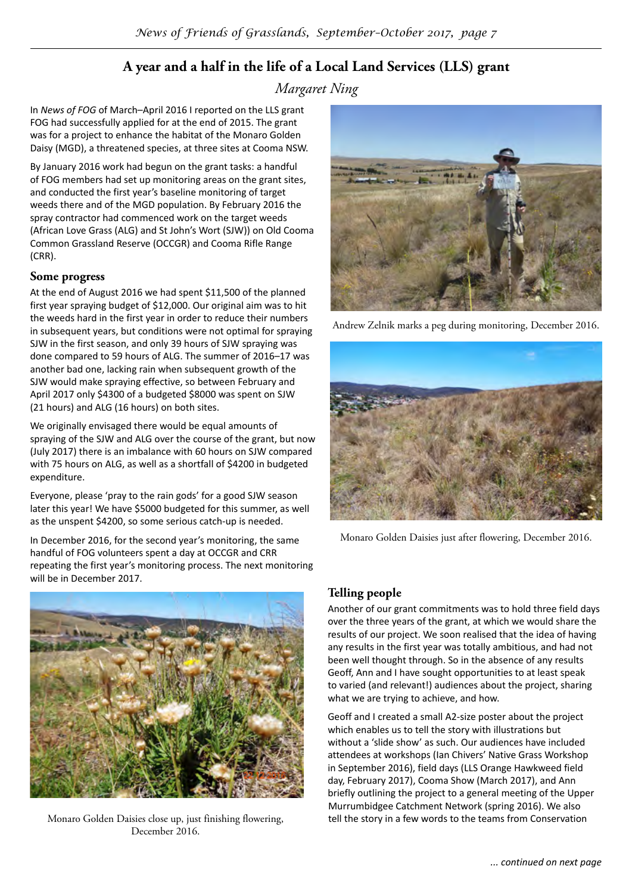# **A year and a half in the life of a Local Land Services (LLS) grant**

*Margaret Ning*

In *News of FOG* of March–April 2016 I reported on the LLS grant FOG had successfully applied for at the end of 2015. The grant was for a project to enhance the habitat of the Monaro Golden Daisy (MGD), a threatened species, at three sites at Cooma NSW.

By January 2016 work had begun on the grant tasks: a handful of FOG members had set up monitoring areas on the grant sites, and conducted the first year's baseline monitoring of target weeds there and of the MGD population. By February 2016 the spray contractor had commenced work on the target weeds (African Love Grass (ALG) and St John's Wort (SJW)) on Old Cooma Common Grassland Reserve (OCCGR) and Cooma Rifle Range (CRR).

#### **Some progress**

At the end of August 2016 we had spent \$11,500 of the planned first year spraying budget of \$12,000. Our original aim was to hit the weeds hard in the first year in order to reduce their numbers in subsequent years, but conditions were not optimal for spraying SJW in the first season, and only 39 hours of SJW spraying was done compared to 59 hours of ALG. The summer of 2016–17 was another bad one, lacking rain when subsequent growth of the SJW would make spraying effective, so between February and April 2017 only \$4300 of a budgeted \$8000 was spent on SJW (21 hours) and ALG (16 hours) on both sites.

We originally envisaged there would be equal amounts of spraying of the SJW and ALG over the course of the grant, but now (July 2017) there is an imbalance with 60 hours on SJW compared with 75 hours on ALG, as well as a shortfall of \$4200 in budgeted expenditure.

Everyone, please 'pray to the rain gods' for a good SJW season later this year! We have \$5000 budgeted for this summer, as well as the unspent \$4200, so some serious catch-up is needed.

In December 2016, for the second year's monitoring, the same handful of FOG volunteers spent a day at OCCGR and CRR repeating the first year's monitoring process. The next monitoring will be in December 2017.



Monaro Golden Daisies close up, just finishing flowering, December 2016.



Andrew Zelnik marks a peg during monitoring, December 2016.



Monaro Golden Daisies just after flowering, December 2016.

#### **Telling people**

Another of our grant commitments was to hold three field days over the three years of the grant, at which we would share the results of our project. We soon realised that the idea of having any results in the first year was totally ambitious, and had not been well thought through. So in the absence of any results Geoff, Ann and I have sought opportunities to at least speak to varied (and relevant!) audiences about the project, sharing what we are trying to achieve, and how.

Geoff and I created a small A2-size poster about the project which enables us to tell the story with illustrations but without a 'slide show' as such. Our audiences have included attendees at workshops (Ian Chivers' Native Grass Workshop in September 2016), field days (LLS Orange Hawkweed field day, February 2017), Cooma Show (March 2017), and Ann briefly outlining the project to a general meeting of the Upper Murrumbidgee Catchment Network (spring 2016). We also tell the story in a few words to the teams from Conservation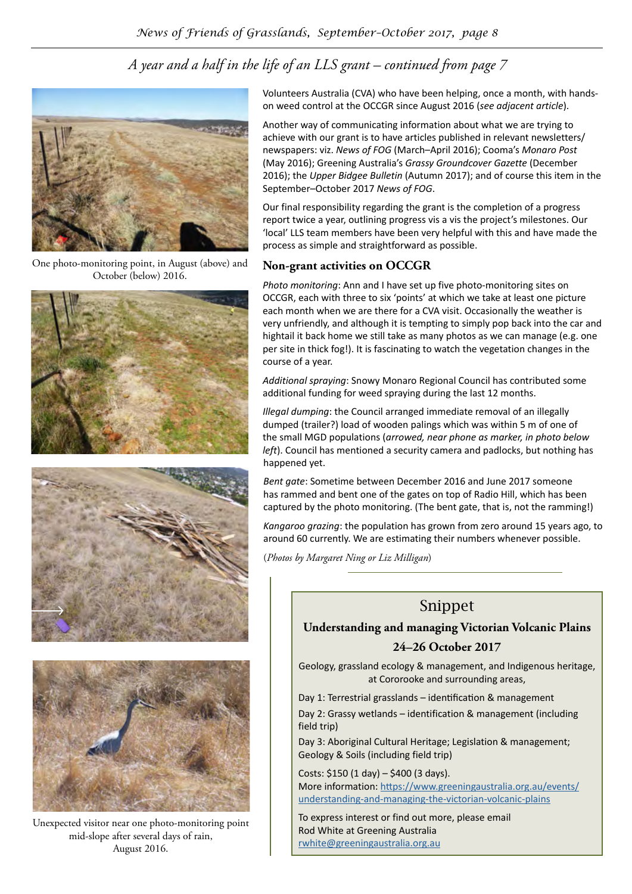# *A year and a half in the life of an LLS grant – continued from page 7*



One photo-monitoring point, in August (above) and October (below) 2016.







Unexpected visitor near one photo-monitoring point mid-slope after several days of rain, August 2016.

Volunteers Australia (CVA) who have been helping, once a month, with handson weed control at the OCCGR since August 2016 (*see adjacent article*).

Another way of communicating information about what we are trying to achieve with our grant is to have articles published in relevant newsletters/ newspapers: viz. *News of FOG* (March–April 2016); Cooma's *Monaro Post* (May 2016); Greening Australia's *Grassy Groundcover Gazette* (December 2016); the *Upper Bidgee Bulletin* (Autumn 2017); and of course this item in the September–October 2017 *News of FOG*.

Our final responsibility regarding the grant is the completion of a progress report twice a year, outlining progress vis a vis the project's milestones. Our 'local' LLS team members have been very helpful with this and have made the process as simple and straightforward as possible.

#### **Non-grant activities on OCCGR**

*Photo monitoring*: Ann and I have set up five photo-monitoring sites on OCCGR, each with three to six 'points' at which we take at least one picture each month when we are there for a CVA visit. Occasionally the weather is very unfriendly, and although it is tempting to simply pop back into the car and hightail it back home we still take as many photos as we can manage (e.g. one per site in thick fog!). It is fascinating to watch the vegetation changes in the course of a year.

*Additional spraying*: Snowy Monaro Regional Council has contributed some additional funding for weed spraying during the last 12 months.

*Illegal dumping*: the Council arranged immediate removal of an illegally dumped (trailer?) load of wooden palings which was within 5 m of one of the small MGD populations (*arrowed, near phone as marker, in photo below left*). Council has mentioned a security camera and padlocks, but nothing has happened yet.

*Bent gate*: Sometime between December 2016 and June 2017 someone has rammed and bent one of the gates on top of Radio Hill, which has been captured by the photo monitoring. (The bent gate, that is, not the ramming!)

*Kangaroo grazing*: the population has grown from zero around 15 years ago, to around 60 currently. We are estimating their numbers whenever possible.

(*Photos by Margaret Ning or Liz Milligan*)

# Snippet

**Understanding and managing Victorian Volcanic Plains**

#### **24–26 October 2017**

Geology, grassland ecology & management, and Indigenous heritage, at Cororooke and surrounding areas,

Day 1: Terrestrial grasslands – identification & management

Day 2: Grassy wetlands – identification & management (including field trip)

Day 3: Aboriginal Cultural Heritage; Legislation & management; Geology & Soils (including field trip)

Costs: \$150 (1 day) – \$400 (3 days). More information: [https://www.greeningaustralia.org.au/events/](https://www.greeningaustralia.org.au/events/understanding-and-managing-the-victorian-volcanic-plains) [understanding-and-managing-the-victorian-volcanic-plains](https://www.greeningaustralia.org.au/events/understanding-and-managing-the-victorian-volcanic-plains)

To express interest or find out more, please email Rod White at Greening Australia [rwhite@greeningaustralia.org.au](mailto:rwhite@greeningaustralia.org.au)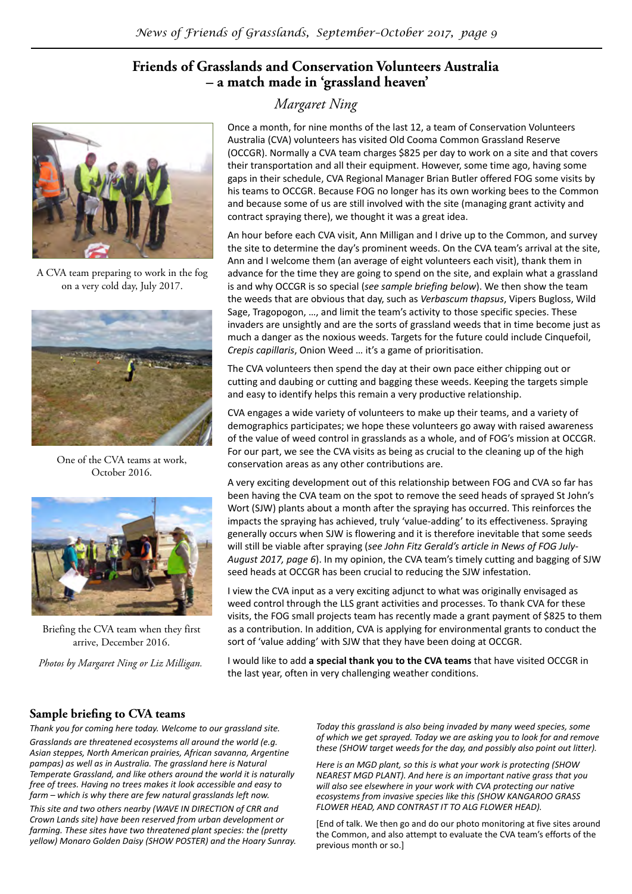### **Friends of Grasslands and Conservation Volunteers Australia – a match made in 'grassland heaven'**



A CVA team preparing to work in the fog on a very cold day, July 2017.



One of the CVA teams at work, October 2016.



Briefing the CVA team when they first arrive, December 2016.

*Photos by Margaret Ning or Liz Milligan.*

### *Margaret Ning*

Once a month, for nine months of the last 12, a team of Conservation Volunteers Australia (CVA) volunteers has visited Old Cooma Common Grassland Reserve (OCCGR). Normally a CVA team charges \$825 per day to work on a site and that covers their transportation and all their equipment. However, some time ago, having some gaps in their schedule, CVA Regional Manager Brian Butler offered FOG some visits by his teams to OCCGR. Because FOG no longer has its own working bees to the Common and because some of us are still involved with the site (managing grant activity and contract spraying there), we thought it was a great idea.

An hour before each CVA visit, Ann Milligan and I drive up to the Common, and survey the site to determine the day's prominent weeds. On the CVA team's arrival at the site, Ann and I welcome them (an average of eight volunteers each visit), thank them in advance for the time they are going to spend on the site, and explain what a grassland is and why OCCGR is so special (*see sample briefing below*). We then show the team the weeds that are obvious that day, such as *Verbascum thapsus*, Vipers Bugloss, Wild Sage, Tragopogon, …, and limit the team's activity to those specific species. These invaders are unsightly and are the sorts of grassland weeds that in time become just as much a danger as the noxious weeds. Targets for the future could include Cinquefoil, *Crepis capillaris*, Onion Weed … it's a game of prioritisation.

The CVA volunteers then spend the day at their own pace either chipping out or cutting and daubing or cutting and bagging these weeds. Keeping the targets simple and easy to identify helps this remain a very productive relationship.

CVA engages a wide variety of volunteers to make up their teams, and a variety of demographics participates; we hope these volunteers go away with raised awareness of the value of weed control in grasslands as a whole, and of FOG's mission at OCCGR. For our part, we see the CVA visits as being as crucial to the cleaning up of the high conservation areas as any other contributions are.

A very exciting development out of this relationship between FOG and CVA so far has been having the CVA team on the spot to remove the seed heads of sprayed St John's Wort (SJW) plants about a month after the spraying has occurred. This reinforces the impacts the spraying has achieved, truly 'value-adding' to its effectiveness. Spraying generally occurs when SJW is flowering and it is therefore inevitable that some seeds will still be viable after spraying (*see John Fitz Gerald's article in News of FOG July-August 2017, page 6*). In my opinion, the CVA team's timely cutting and bagging of SJW seed heads at OCCGR has been crucial to reducing the SJW infestation.

I view the CVA input as a very exciting adjunct to what was originally envisaged as weed control through the LLS grant activities and processes. To thank CVA for these visits, the FOG small projects team has recently made a grant payment of \$825 to them as a contribution. In addition, CVA is applying for environmental grants to conduct the sort of 'value adding' with SJW that they have been doing at OCCGR.

I would like to add **a special thank you to the CVA teams** that have visited OCCGR in the last year, often in very challenging weather conditions.

#### **Sample briefing to CVA teams**

*Thank you for coming here today. Welcome to our grassland site. Grasslands are threatened ecosystems all around the world (e.g. Asian steppes, North American prairies, African savanna, Argentine pampas) as well as in Australia. The grassland here is Natural Temperate Grassland, and like others around the world it is naturally free of trees. Having no trees makes it look accessible and easy to farm – which is why there are few natural grasslands left now.*

*This site and two others nearby (WAVE IN DIRECTION of CRR and Crown Lands site) have been reserved from urban development or farming. These sites have two threatened plant species: the (pretty yellow) Monaro Golden Daisy (SHOW POSTER) and the Hoary Sunray.*  *Today this grassland is also being invaded by many weed species, some of which we get sprayed. Today we are asking you to look for and remove these (SHOW target weeds for the day, and possibly also point out litter).*

*Here is an MGD plant, so this is what your work is protecting (SHOW NEAREST MGD PLANT). And here is an important native grass that you will also see elsewhere in your work with CVA protecting our native ecosystems from invasive species like this (SHOW KANGAROO GRASS FLOWER HEAD, AND CONTRAST IT TO ALG FLOWER HEAD).* 

[End of talk. We then go and do our photo monitoring at five sites around the Common, and also attempt to evaluate the CVA team's efforts of the previous month or so.]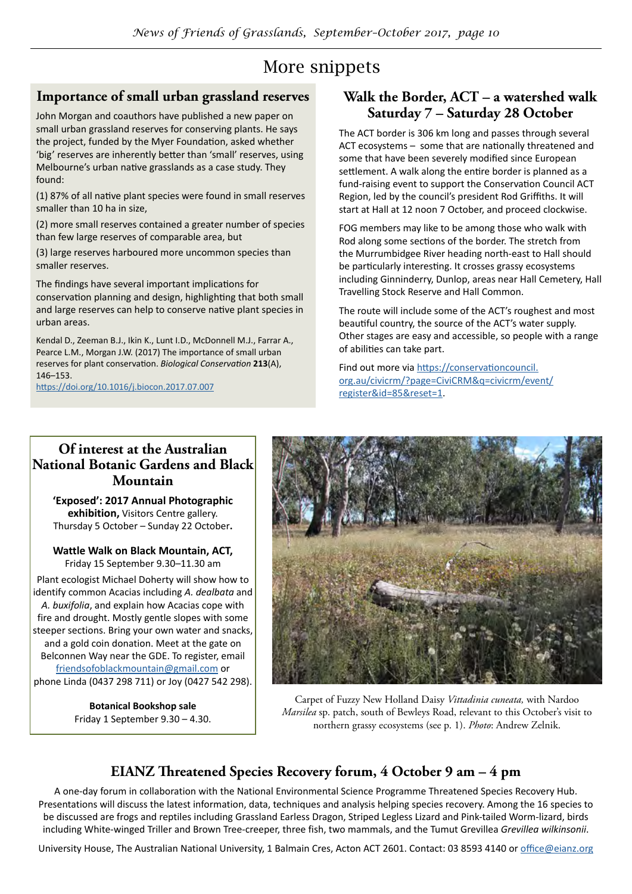# More snippets

# **Importance of small urban grassland reserves**

John Morgan and coauthors have published a new paper on small urban grassland reserves for conserving plants. He says the project, funded by the Myer Foundation, asked whether 'big' reserves are inherently better than 'small' reserves, using Melbourne's urban native grasslands as a case study. They found:

(1) 87% of all native plant species were found in small reserves smaller than 10 ha in size,

(2) more small reserves contained a greater number of species than few large reserves of comparable area, but

(3) large reserves harboured more uncommon species than smaller reserves.

The findings have several important implications for conservation planning and design, highlighting that both small and large reserves can help to conserve native plant species in urban areas.

Kendal D., Zeeman B.J., Ikin K., Lunt I.D., McDonnell M.J., Farrar A., Pearce L.M., Morgan J.W. (2017) The importance of small urban reserves for plant conservation. *Biological Conservation* **213**(A), 146–153.

[https://doi.org/10.1016/j.biocon.2017.07.007](https://doi.org/10.1016/j.biocon.2017.07.007 )

### **Walk the Border, ACT – a watershed walk Saturday 7 – Saturday 28 October**

The ACT border is 306 km long and passes through several ACT ecosystems – some that are nationally threatened and some that have been severely modified since European settlement. A walk along the entire border is planned as a fund-raising event to support the Conservation Council ACT Region, led by the council's president Rod Griffiths. It will start at Hall at 12 noon 7 October, and proceed clockwise.

FOG members may like to be among those who walk with Rod along some sections of the border. The stretch from the Murrumbidgee River heading north-east to Hall should be particularly interesting. It crosses grassy ecosystems including Ginninderry, Dunlop, areas near Hall Cemetery, Hall Travelling Stock Reserve and Hall Common.

The route will include some of the ACT's roughest and most beautiful country, the source of the ACT's water supply. Other stages are easy and accessible, so people with a range of abilities can take part.

Find out more via [https://conservationcouncil.](https://conservationcouncil.org.au/civicrm/?page=CiviCRM&q=civicrm/event/register&id=85&reset=1) [org.au/civicrm/?page=CiviCRM&q=civicrm/event/](https://conservationcouncil.org.au/civicrm/?page=CiviCRM&q=civicrm/event/register&id=85&reset=1) [register&id=85&reset=1](https://conservationcouncil.org.au/civicrm/?page=CiviCRM&q=civicrm/event/register&id=85&reset=1).

### **Of interest at the Australian National Botanic Gardens and Black Mountain**

**'Exposed': 2017 Annual Photographic exhibition,** Visitors Centre gallery. Thursday 5 October – Sunday 22 October**.**

**Wattle Walk on Black Mountain, ACT,** Friday 15 September 9.30–11.30 am Plant ecologist Michael Doherty will show how to identify common Acacias including *A. dealbata* and *A. buxifolia*, and explain how Acacias cope with fire and drought. Mostly gentle slopes with some steeper sections. Bring your own water and snacks, and a gold coin donation. Meet at the gate on Belconnen Way near the GDE. To register, email [friendsofoblackmountain@gmail.com](mailto:friendsofoblackmountain@gmail.com) or phone Linda (0437 298 711) or Joy (0427 542 298).

> **Botanical Bookshop sale** Friday 1 September 9.30 – 4.30.



Carpet of Fuzzy New Holland Daisy *Vittadinia cuneata,* with Nardoo *Marsilea* sp. patch, south of Bewleys Road, relevant to this October's visit to northern grassy ecosystems (see p. 1). *Photo*: Andrew Zelnik.

# **EIANZ Threatened Species Recovery forum, 4 October 9 am – 4 pm**

A one-day forum in collaboration with the National Environmental Science Programme Threatened Species Recovery Hub. Presentations will discuss the latest information, data, techniques and analysis helping species recovery. Among the 16 species to be discussed are frogs and reptiles including Grassland Earless Dragon, Striped Legless Lizard and Pink-tailed Worm-lizard, birds including White-winged Triller and Brown Tree-creeper, three fish, two mammals, and the Tumut Grevillea *Grevillea wilkinsonii*.

University House, The Australian National University, 1 Balmain Cres, Acton ACT 2601. Contact: 03 8593 4140 or [office@eianz.org](mailto:office@eianz.org)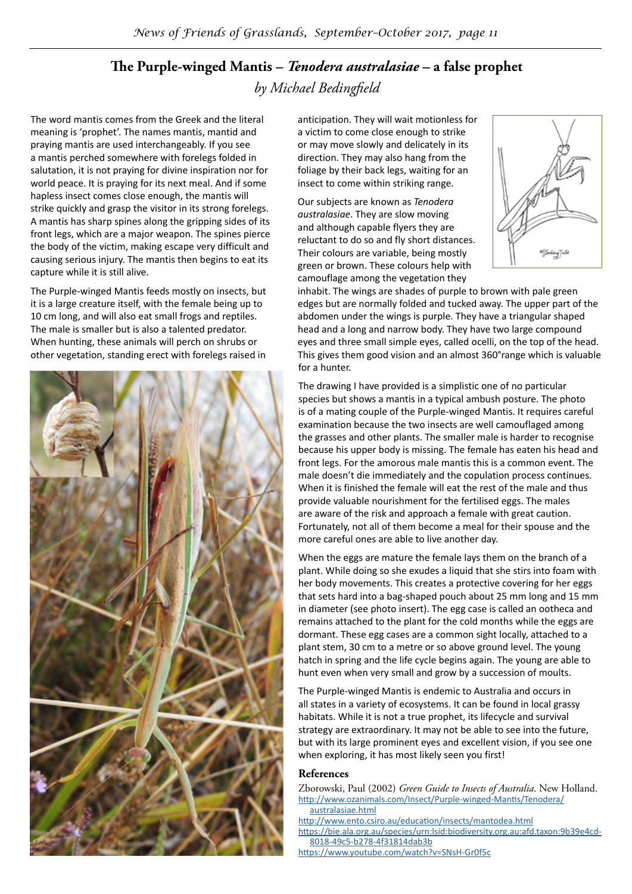# **The Purple-winged Mantis –** *Tenodera australasiae* **– a false prophet** *by Michael Bedingfield*

The word mantis comes from the Greek and the literal meaning is 'prophet'. The names mantis, mantid and praying mantis are used interchangeably. If you see a mantis perched somewhere with forelegs folded in salutation, it is not praying for divine inspiration nor for world peace. It is praying for its next meal. And if some hapless insect comes close enough, the mantis will strike quickly and grasp the visitor in its strong forelegs. A mantis has sharp spines along the gripping sides of its front legs, which are a major weapon. The spines pierce the body of the victim, making escape very difficult and causing serious injury. The mantis then begins to eat its capture while it is still alive.

The Purple-winged Mantis feeds mostly on insects, but it is a large creature itself, with the female being up to 10 cm long, and will also eat small frogs and reptiles. The male is smaller but is also a talented predator. When hunting, these animals will perch on shrubs or other vegetation, standing erect with forelegs raised in



anticipation. They will wait motionless for a victim to come close enough to strike or may move slowly and delicately in its direction. They may also hang from the foliage by their back legs, waiting for an insect to come within striking range.

Our subjects are known as *Tenodera australasiae*. They are slow moving and although capable flyers they are reluctant to do so and fly short distances. Their colours are variable, being mostly green or brown. These colours help with camouflage among the vegetation they



inhabit. The wings are shades of purple to brown with pale green edges but are normally folded and tucked away. The upper part of the abdomen under the wings is purple. They have a triangular shaped head and a long and narrow body. They have two large compound eyes and three small simple eyes, called ocelli, on the top of the head. This gives them good vision and an almost 360°range which is valuable for a hunter.

The drawing I have provided is a simplistic one of no particular species but shows a mantis in a typical ambush posture. The photo is of a mating couple of the Purple-winged Mantis. It requires careful examination because the two insects are well camouflaged among the grasses and other plants. The smaller male is harder to recognise because his upper body is missing. The female has eaten his head and front legs. For the amorous male mantis this is a common event. The male doesn't die immediately and the copulation process continues. When it is finished the female will eat the rest of the male and thus provide valuable nourishment for the fertilised eggs. The males are aware of the risk and approach a female with great caution. Fortunately, not all of them become a meal for their spouse and the more careful ones are able to live another day.

When the eggs are mature the female lays them on the branch of a plant. While doing so she exudes a liquid that she stirs into foam with her body movements. This creates a protective covering for her eggs that sets hard into a bag-shaped pouch about 25 mm long and 15 mm in diameter (see photo insert). The egg case is called an ootheca and remains attached to the plant for the cold months while the eggs are dormant. These egg cases are a common sight locally, attached to a plant stem, 30 cm to a metre or so above ground level. The young hatch in spring and the life cycle begins again. The young are able to hunt even when very small and grow by a succession of moults.

The Purple-winged Mantis is endemic to Australia and occurs in all states in a variety of ecosystems. It can be found in local grassy habitats. While it is not a true prophet, its lifecycle and survival strategy are extraordinary. It may not be able to see into the future, but with its large prominent eyes and excellent vision, if you see one when exploring, it has most likely seen you first!

#### **References**

Zborowski, Paul (2002) *Green Guide to Insects of Australia*. New Holland. [http://www.ozanimals.com/Insect/Purple-winged-Mantis/Tenodera/](http://www.ozanimals.com/Insect/Purple-winged-Mantis/Tenodera/australasiae.html )

[australasiae.html](http://www.ozanimals.com/Insect/Purple-winged-Mantis/Tenodera/australasiae.html )

- <http://www.ento.csiro.au/education/insects/mantodea.html> [https://bie.ala.org.au/species/urn:lsid:biodiversity.org.au:afd.taxon:9b39e4cd-](https://bie.ala.org.au/species/urn:lsid:biodiversity.org.au:afd.taxon:9b39e4cd-8018-49c5-b278-4f31814dab3b)[8018-49c5-b278-4f31814dab3b](https://bie.ala.org.au/species/urn:lsid:biodiversity.org.au:afd.taxon:9b39e4cd-8018-49c5-b278-4f31814dab3b)
- <https://www.youtube.com/watch?v=SNsH-Gr0f5c>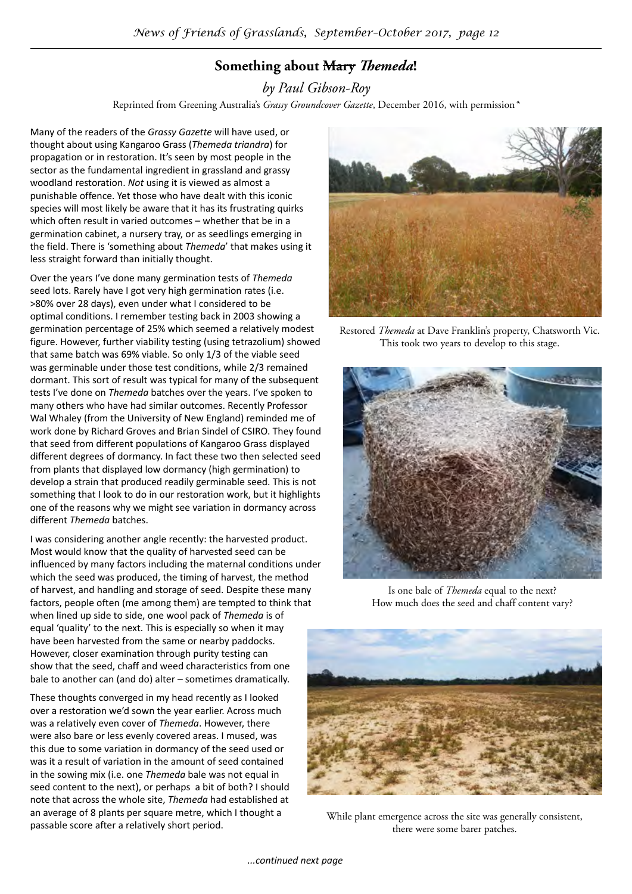# **Something about Mary** *Themeda***!**

*by Paul Gibson-Roy*

Reprinted from Greening Australia's *Grassy Groundcover Gazette*, December 2016, with permission*\**

Many of the readers of the *Grassy Gazette* will have used, or thought about using Kangaroo Grass (*Themeda triandra*) for propagation or in restoration. It's seen by most people in the sector as the fundamental ingredient in grassland and grassy woodland restoration. *Not* using it is viewed as almost a punishable offence. Yet those who have dealt with this iconic species will most likely be aware that it has its frustrating quirks which often result in varied outcomes – whether that be in a germination cabinet, a nursery tray, or as seedlings emerging in the field. There is 'something about *Themeda*' that makes using it less straight forward than initially thought.

Over the years I've done many germination tests of *Themeda* seed lots. Rarely have I got very high germination rates (i.e. >80% over 28 days), even under what I considered to be optimal conditions. I remember testing back in 2003 showing a germination percentage of 25% which seemed a relatively modest figure. However, further viability testing (using tetrazolium) showed that same batch was 69% viable. So only 1/3 of the viable seed was germinable under those test conditions, while 2/3 remained dormant. This sort of result was typical for many of the subsequent tests I've done on *Themeda* batches over the years. I've spoken to many others who have had similar outcomes. Recently Professor Wal Whaley (from the University of New England) reminded me of work done by Richard Groves and Brian Sindel of CSIRO. They found that seed from different populations of Kangaroo Grass displayed different degrees of dormancy. In fact these two then selected seed from plants that displayed low dormancy (high germination) to develop a strain that produced readily germinable seed. This is not something that I look to do in our restoration work, but it highlights one of the reasons why we might see variation in dormancy across different *Themeda* batches.

I was considering another angle recently: the harvested product. Most would know that the quality of harvested seed can be influenced by many factors including the maternal conditions under which the seed was produced, the timing of harvest, the method of harvest, and handling and storage of seed. Despite these many factors, people often (me among them) are tempted to think that when lined up side to side, one wool pack of *Themeda* is of equal 'quality' to the next. This is especially so when it may have been harvested from the same or nearby paddocks. However, closer examination through purity testing can show that the seed, chaff and weed characteristics from one bale to another can (and do) alter – sometimes dramatically.

These thoughts converged in my head recently as I looked over a restoration we'd sown the year earlier. Across much was a relatively even cover of *Themeda*. However, there were also bare or less evenly covered areas. I mused, was this due to some variation in dormancy of the seed used or was it a result of variation in the amount of seed contained in the sowing mix (i.e. one *Themeda* bale was not equal in seed content to the next), or perhaps a bit of both? I should note that across the whole site, *Themeda* had established at an average of 8 plants per square metre, which I thought a passable score after a relatively short period.



Restored *Themeda* at Dave Franklin's property, Chatsworth Vic. This took two years to develop to this stage.



Is one bale of *Themeda* equal to the next? How much does the seed and chaff content vary?



While plant emergence across the site was generally consistent, there were some barer patches.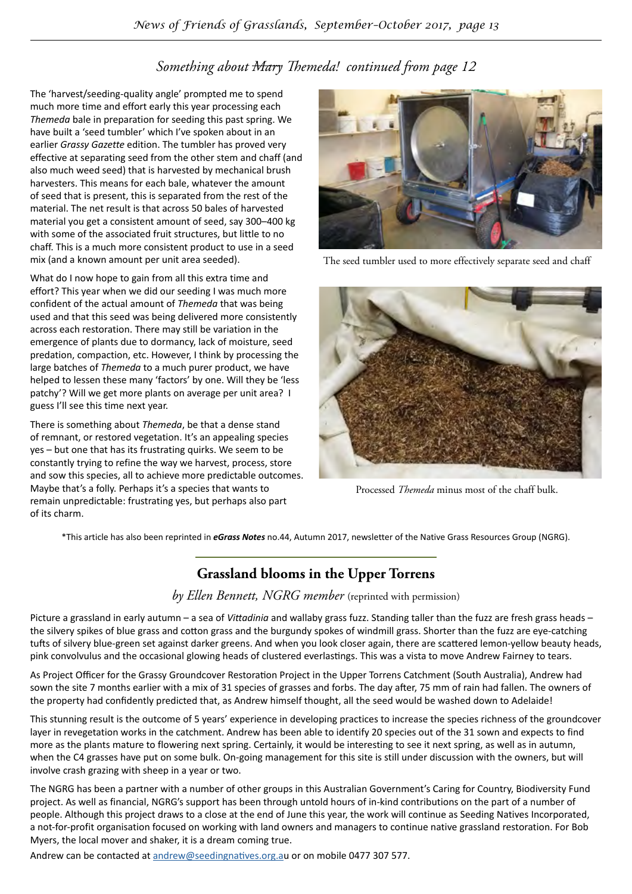# *Something about Mary Themeda! continued from page 12*

The 'harvest/seeding-quality angle' prompted me to spend much more time and effort early this year processing each *Themeda* bale in preparation for seeding this past spring. We have built a 'seed tumbler' which I've spoken about in an earlier *Grassy Gazette* edition. The tumbler has proved very effective at separating seed from the other stem and chaff (and also much weed seed) that is harvested by mechanical brush harvesters. This means for each bale, whatever the amount of seed that is present, this is separated from the rest of the material. The net result is that across 50 bales of harvested material you get a consistent amount of seed, say 300–400 kg with some of the associated fruit structures, but little to no chaff. This is a much more consistent product to use in a seed mix (and a known amount per unit area seeded).

What do I now hope to gain from all this extra time and effort? This year when we did our seeding I was much more confident of the actual amount of *Themeda* that was being used and that this seed was being delivered more consistently across each restoration. There may still be variation in the emergence of plants due to dormancy, lack of moisture, seed predation, compaction, etc. However, I think by processing the large batches of *Themeda* to a much purer product, we have helped to lessen these many 'factors' by one. Will they be 'less patchy'? Will we get more plants on average per unit area? I guess I'll see this time next year.

There is something about *Themeda*, be that a dense stand of remnant, or restored vegetation. It's an appealing species yes – but one that has its frustrating quirks. We seem to be constantly trying to refine the way we harvest, process, store and sow this species, all to achieve more predictable outcomes. Maybe that's a folly. Perhaps it's a species that wants to remain unpredictable: frustrating yes, but perhaps also part of its charm.



The seed tumbler used to more effectively separate seed and chaff



Processed *Themeda* minus most of the chaff bulk.

\*This article has also been reprinted in *eGrass Notes* no.44, Autumn 2017, newsletter of the Native Grass Resources Group (NGRG).

# **Grassland blooms in the Upper Torrens**

#### *by Ellen Bennett, NGRG member* (reprinted with permission)

Picture a grassland in early autumn – a sea of *Vittadinia* and wallaby grass fuzz. Standing taller than the fuzz are fresh grass heads – the silvery spikes of blue grass and cotton grass and the burgundy spokes of windmill grass. Shorter than the fuzz are eye-catching tufts of silvery blue-green set against darker greens. And when you look closer again, there are scattered lemon-yellow beauty heads, pink convolvulus and the occasional glowing heads of clustered everlastings. This was a vista to move Andrew Fairney to tears.

As Project Officer for the Grassy Groundcover Restoration Project in the Upper Torrens Catchment (South Australia), Andrew had sown the site 7 months earlier with a mix of 31 species of grasses and forbs. The day after, 75 mm of rain had fallen. The owners of the property had confidently predicted that, as Andrew himself thought, all the seed would be washed down to Adelaide!

This stunning result is the outcome of 5 years' experience in developing practices to increase the species richness of the groundcover layer in revegetation works in the catchment. Andrew has been able to identify 20 species out of the 31 sown and expects to find more as the plants mature to flowering next spring. Certainly, it would be interesting to see it next spring, as well as in autumn, when the C4 grasses have put on some bulk. On-going management for this site is still under discussion with the owners, but will involve crash grazing with sheep in a year or two.

The NGRG has been a partner with a number of other groups in this Australian Government's Caring for Country, Biodiversity Fund project. As well as financial, NGRG's support has been through untold hours of in-kind contributions on the part of a number of people. Although this project draws to a close at the end of June this year, the work will continue as Seeding Natives Incorporated, a not-for-profit organisation focused on working with land owners and managers to continue native grassland restoration. For Bob Myers, the local mover and shaker, it is a dream coming true.

Andrew can be contacted at [andrew@seedingnatives.org.a](mailto:andrew@seedingnatives.org.a)u or on mobile 0477 307 577.